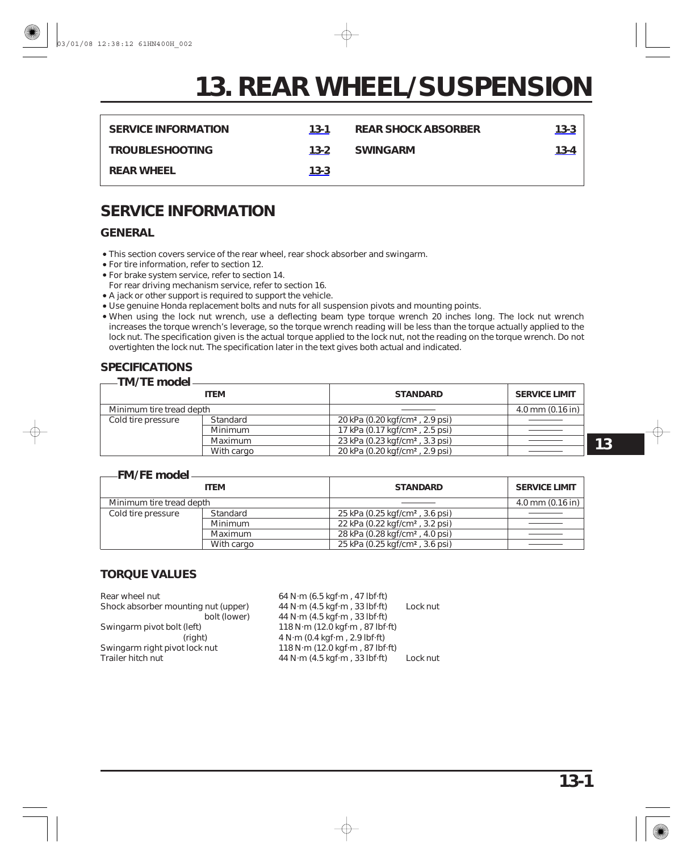<span id="page-0-0"></span>

| <b>SERVICE INFORMATION</b> | $13-1$   | <b>REAR SHOCK ABSORBER</b> | 13-3 |
|----------------------------|----------|----------------------------|------|
| <b>TROUBLESHOOTING</b>     | $13 - 2$ | <b>SWINGARM</b>            | 13-4 |
| <b>REAR WHEEL</b>          | $13 - 3$ |                            |      |

# **SERVICE INFORMATION**

# **GENERAL**

- This section covers service of the rear wheel, rear shock absorber and swingarm.
- For tire information, refer to section 12.
- For brake system service, refer to section 14. For rear driving mechanism service, refer to section 16.
- A jack or other support is required to support the vehicle.
- Use genuine Honda replacement bolts and nuts for all suspension pivots and mounting points.
- When using the lock nut wrench, use a deflecting beam type torque wrench 20 inches long. The lock nut wrench increases the torque wrench's leverage, so the torque wrench reading will be less than the torque actually applied to the lock nut. The specification given is the actual torque applied to the lock nut, not the reading on the torque wrench. Do not overtighten the lock nut. The specification later in the text gives both actual and indicated.

#### **SPECIFICATIONS TM/TE model**

| — TMZ LE model :         |             |                                             |                      |  |
|--------------------------|-------------|---------------------------------------------|----------------------|--|
|                          | <b>ITEM</b> | <b>STANDARD</b>                             | <b>SERVICE LIMIT</b> |  |
| Minimum tire tread depth |             |                                             | $4.0$ mm $(0.16$ in) |  |
| Cold tire pressure       | Standard    | 20 kPa (0.20 kgf/cm <sup>2</sup> , 2.9 psi) |                      |  |
|                          | Minimum     | 17 kPa (0.17 kgf/cm <sup>2</sup> , 2.5 psi) |                      |  |
|                          | Maximum     | 23 kPa (0.23 kgf/cm <sup>2</sup> , 3.3 psi) |                      |  |
|                          | With cargo  | 20 kPa (0.20 kgf/cm <sup>2</sup> , 2.9 psi) |                      |  |

#### **FM/FE model**

|                          | <b>ITEM</b> | <b>STANDARD</b>                             | <b>SERVICE LIMIT</b> |
|--------------------------|-------------|---------------------------------------------|----------------------|
| Minimum tire tread depth |             |                                             | $4.0$ mm $(0.16$ in) |
| Cold tire pressure       | Standard    | 25 kPa (0.25 kgf/cm <sup>2</sup> , 3.6 psi) |                      |
|                          | Minimum     | 22 kPa (0.22 kgf/cm <sup>2</sup> , 3.2 psi) |                      |
|                          | Maximum     | 28 kPa (0.28 kgf/cm <sup>2</sup> , 4.0 psi) |                      |
|                          | With cargo  | 25 kPa (0.25 kgf/cm <sup>2</sup> , 3.6 psi) |                      |

## **TORQUE VALUES**

| 64 N $\cdot$ m (6.5 kgf $\cdot$ m, 47 lbf $\cdot$ ft) |          |
|-------------------------------------------------------|----------|
| 44 N $\cdot$ m (4.5 kgf $\cdot$ m, 33 lbf $\cdot$ ft) | Lock nut |
| 44 N·m (4.5 kgf·m, 33 lbf·ft)                         |          |
| 118 N·m (12.0 kgf·m, 87 lbf·ft)                       |          |
| 4 N·m (0.4 kqf·m, 2.9 lbf·ft)                         |          |
| 118 N·m (12.0 kgf·m, 87 lbf·ft)                       |          |
| 44 N $\cdot$ m (4.5 kgf $\cdot$ m, 33 lbf $\cdot$ ft) | Lock nut |
|                                                       |          |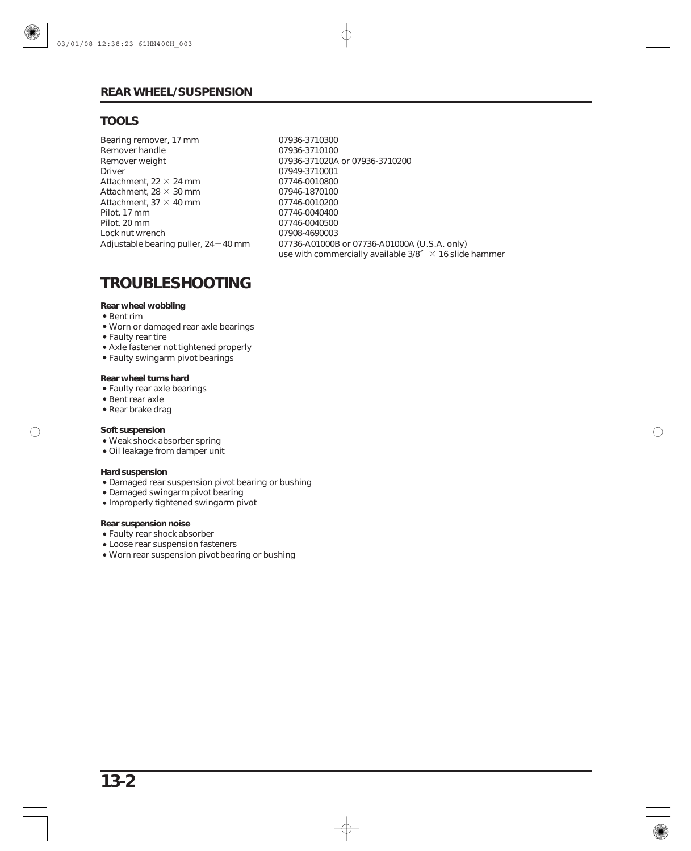# <span id="page-1-0"></span>**TOOLS**

Attachment, 22  $\times$  24 mm Attachment, 28  $\times$  30 mm Attachment, 37  $\times$  40 mm Adjustable bearing puller, 24 $-$ 40 mm Bearing remover, 17 mm Remover handle Remover weight Driver Pilot, 17 mm Pilot, 20 mm Lock nut wrench

use with commercially available  $3/8$ <sup> $\%$ </sup>  $\times$  16 slide hammer 07936-3710300 07936-3710100 07936-371020A or 07936-3710200 07949-3710001 07746-0010800 07946-1870100 07746-0010200 07746-0040400 07746-0040500 07908-4690003 07736-A01000B or 07736-A01000A (U.S.A. only)

# **TROUBLESHOOTING**

#### **Rear wheel wobbling**

- Bent rim
- Worn or damaged rear axle bearings
- Faulty rear tire
- Axle fastener not tightened properly
- Faulty swingarm pivot bearings

#### **Rear wheel turns hard**

- Faulty rear axle bearings
- Bent rear axle
- Rear brake drag

#### **Soft suspension**

- Weak shock absorber spring
- Oil leakage from damper unit

#### **Hard suspension**

- Damaged rear suspension pivot bearing or bushing
- Damaged swingarm pivot bearing
- Improperly tightened swingarm pivot

#### **Rear suspension noise**

- Faulty rear shock absorber
- Loose rear suspension fasteners
- Worn rear suspension pivot bearing or bushing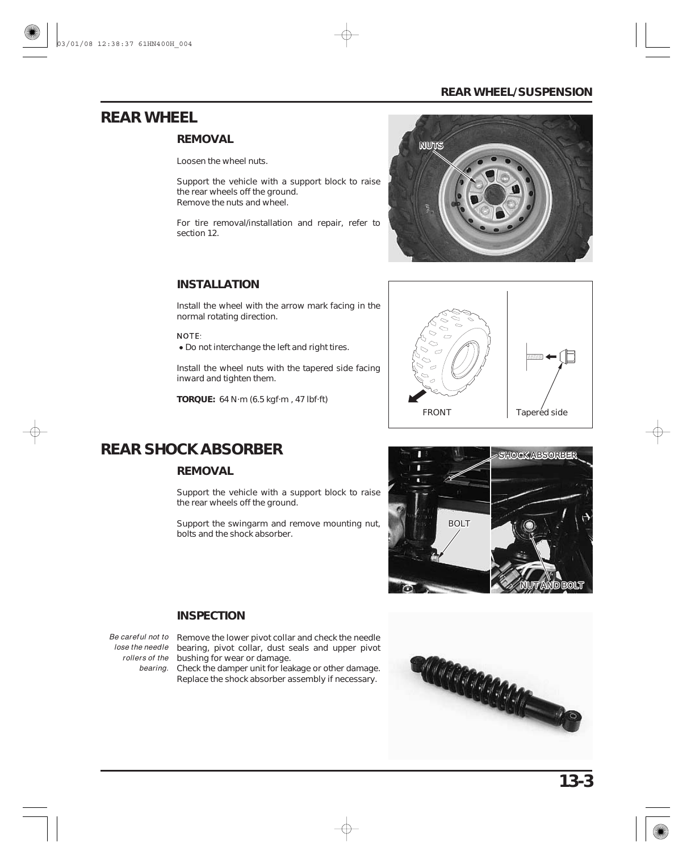# <span id="page-2-0"></span>**REAR WHEEL**

## **REMOVAL**

Loosen the wheel nuts.

Support the vehicle with a support block to raise the rear wheels off the ground. Remove the nuts and wheel.

For tire removal/installation and repair, refer to section 12.

## **INSTALLATION**

Install the wheel with the arrow mark facing in the normal rotating direction.

NOTE:

Do not interchange the left and right tires.

Install the wheel nuts with the tapered side facing inward and tighten them.

**TORQUE:** 64 N·m (6.5 kgf·m , 47 lbf·ft)





# **REAR SHOCK ABSORBER**

# **REMOVAL**

Support the vehicle with a support block to raise the rear wheels off the ground.

Support the swingarm and remove mounting nut, bolts and the shock absorber.



## **INSPECTION**

Be careful not to Remove the lower pivot collar and check the needle lose the needle bearing, pivot collar, dust seals and upper pivot rollers of the bushing for wear or damage.

bearing. Check the damper unit for leakage or other damage. Replace the shock absorber assembly if necessary.

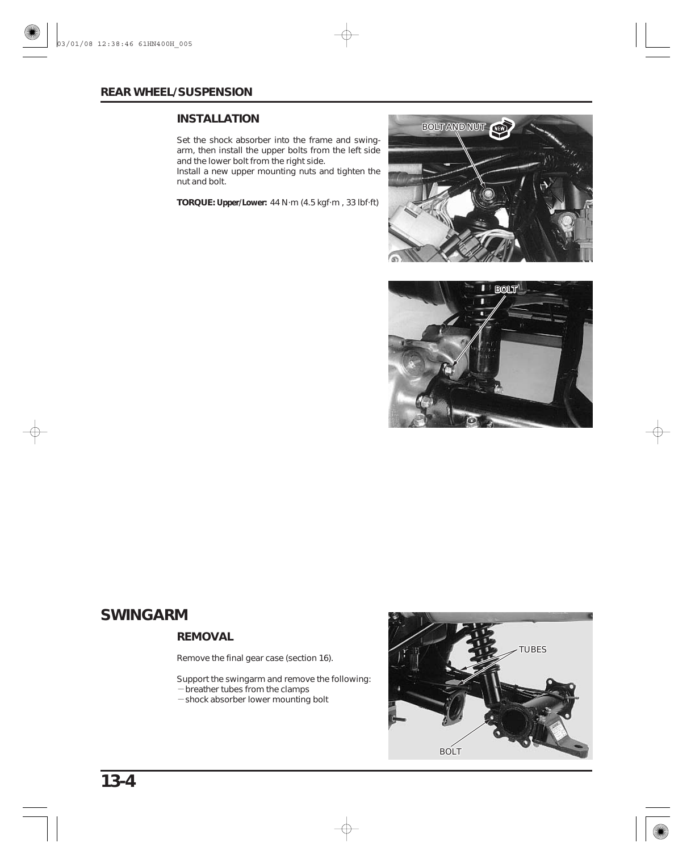## <span id="page-3-0"></span>**INSTALLATION**

Set the shock absorber into the frame and swingarm, then install the upper bolts from the left side and the lower bolt from the right side.

Install a new upper mounting nuts and tighten the nut and bolt.

**TORQUE: Upper/Lower:** 44 N·m (4.5 kgf·m , 33 lbf·ft)





# **SWINGARM**

## **REMOVAL**

Remove the final gear case (section 16).

- breather tubes from the clamps - shock absorber lower mounting bolt Support the swingarm and remove the following:



**13-4**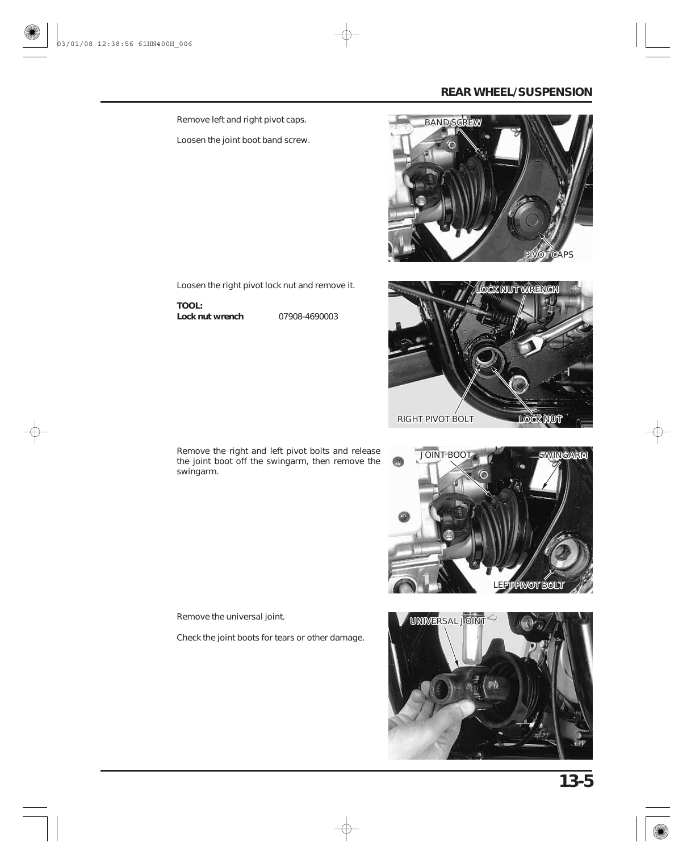Remove left and right pivot caps.

Loosen the joint boot band screw.





Loosen the right pivot lock nut and remove it.

**TOOL: Lock nut wrench**

07908-4690003







Remove the universal joint.

Check the joint boots for tears or other damage.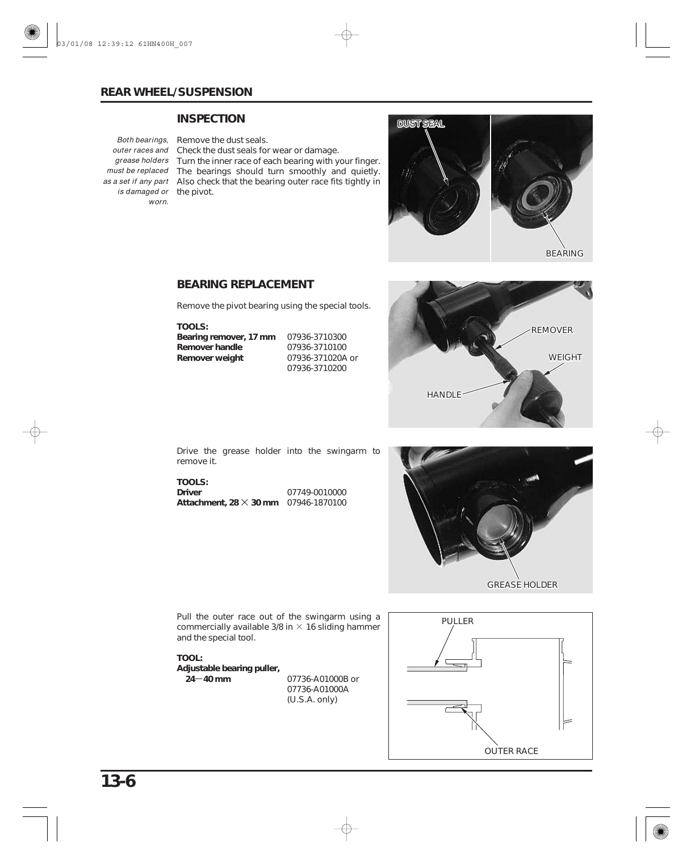#### **INSPECTION**

*Both bearings,* Remove the dust seals. *is damaged or* the pivot. worn.

outer races and Check the dust seals for wear or damage. grease holders Turn the inner race of each bearing with your finger. must be replaced The bearings should turn smoothly and quietly. as a set if any part Also check that the bearing outer race fits tightly in



BEARING

#### **BEARING REPLACEMENT**

Remove the pivot bearing using the special tools.

**TOOLS: Bearing remover, 17 mm** 07936-3710300 **Remover handle Remover weight** 07936-3710100 07936-371020A or 07936-3710200



Drive the grease holder into the swingarm to remove it.

× **Attachment, 28 30 mm** 07946-1870100 **TOOLS: Driver** 07749-0010000



commercially available 3/8 in  $\times$  16 sliding hammer Pull the outer race out of the swingarm using a and the special tool.

24–40 mm **TOOL: Adjustable bearing puller,**

07736-A01000B or 07736-A01000A (U.S.A. only)

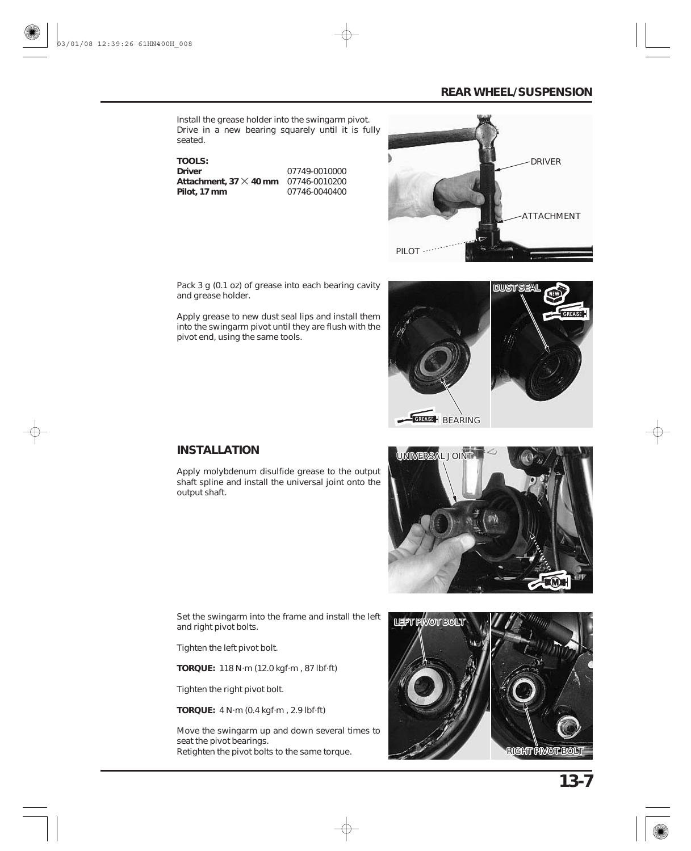Install the grease holder into the swingarm pivot. Drive in a new bearing squarely until it is fully seated.

× **Attachment, 37 40 mm** 07746-0010200 **TOOLS: Driver Pilot, 17 mm** 07749-0010000 07746-0040400



Pack 3 g (0.1 oz) of grease into each bearing cavity and grease holder.

Apply grease to new dust seal lips and install them into the swingarm pivot until they are flush with the pivot end, using the same tools.



# **INSTALLATION**

Apply molybdenum disulfide grease to the output shaft spline and install the universal joint onto the output shaft.



Set the swingarm into the frame and install the left and right pivot bolts.

Tighten the left pivot bolt.

**TORQUE:** 118 N·m (12.0 kgf·m , 87 lbf·ft)

Tighten the right pivot bolt.

**TORQUE:** 4 N·m (0.4 kgf·m , 2.9 lbf·ft)

Move the swingarm up and down several times to seat the pivot bearings. Retighten the pivot bolts to the same torque.

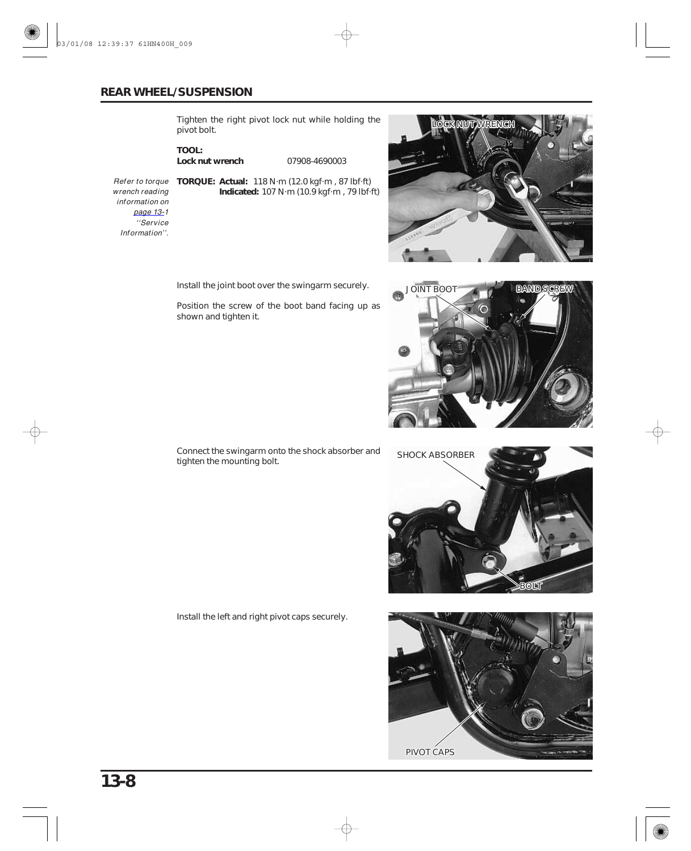Tighten the right pivot lock nut while holding the pivot bolt.

**TOOL: Lock nut wrench**

07908-4690003

**Indicated:** 107 N·m (10.9 kgf·m , 79 lbf·ft)

**TORQUE: Actual:** 118 N·m (12.0 kgf·m , 87 lbf·ft) Refer to torque wrench reading information on [page](#page-0-0) 13-1 ''Service Information''.

Install the joint boot over the swingarm securely.

Position the screw of the boot band facing up as shown and tighten it.

**NOUT WA** 







Connect the swingarm onto the shock absorber and tighten the mounting bolt.

Install the left and right pivot caps securely.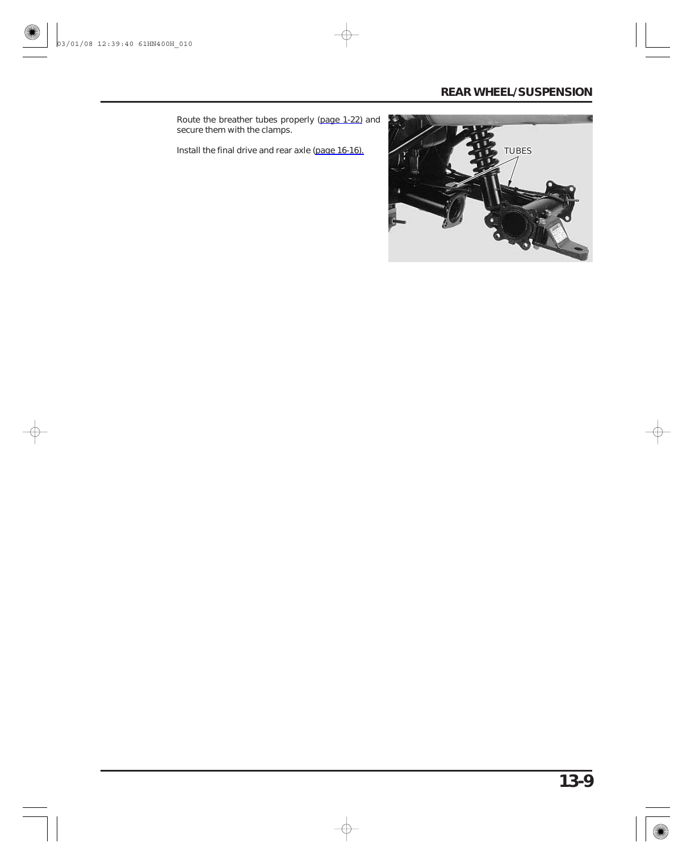Route the breather tubes properly [\(page 1-22\) a](#page-21-0)nd secure them with the clamps.